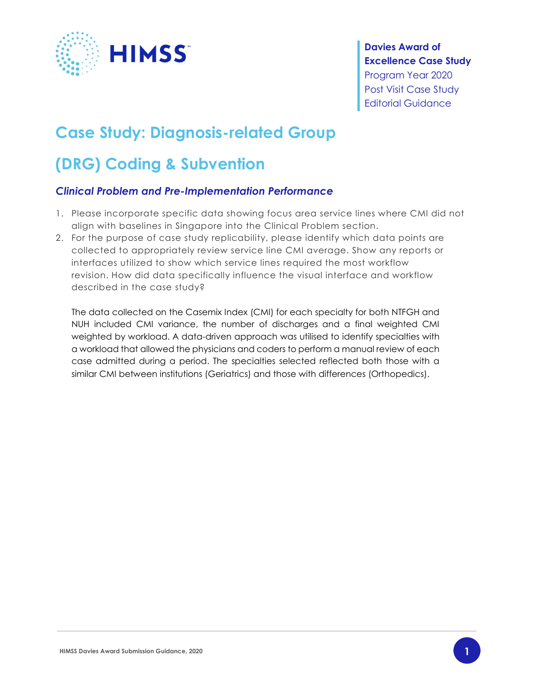

### Davies Award of Excellence Case Study Program Year 2020 Post Visit Case Study Editorial Guidance

# Case Study: Diagnosis-related Group

# (DRG) Coding & Subvention

### Clinical Problem and Pre-Implementation Performance

- 1. Please incorporate specific data showing focus area service lines where CMI did not align with baselines in Singapore into the Clinical Problem section.
- 2. For the purpose of case study replicability, please identify which data points are collected to appropriately review service line CMI average. Show any reports or interfaces utilized to show which service lines required the most workflow revision. How did data specifically influence the visual interface and workflow described in the case study?

The data collected on the Casemix Index (CMI) for each specialty for both NTFGH and NUH included CMI variance, the number of discharges and a final weighted CMI weighted by workload. A data-driven approach was utilised to identify specialties with a workload that allowed the physicians and coders to perform a manual review of each case admitted during a period. The specialties selected reflected both those with a similar CMI between institutions (Geriatrics) and those with differences (Orthopedics).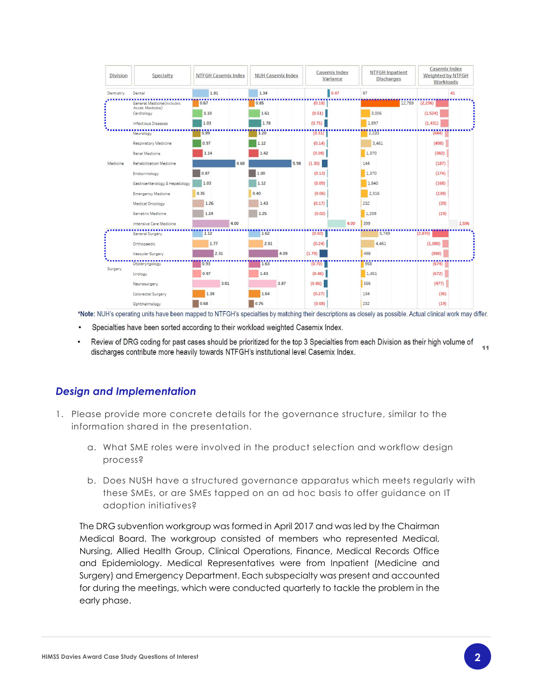

\*Note: NUH's operating units have been mapped to NTFGH's specialties by matching their descriptions as closely as possible. Actual clinical work may differ.

- Specialties have been sorted according to their workload weighted Casemix Index.
- Review of DRG coding for past cases should be prioritized for the top 3 Specialties from each Division as their high volume of 11 discharges contribute more heavily towards NTFGH's institutional level Casemix Index.

#### Design and Implementation

- 1. Please provide more concrete details for the governance structure, similar to the information shared in the presentation.
	- a. What SME roles were involved in the product selection and workflow design process?
	- b. Does NUSH have a structured governance apparatus which meets regularly with these SMEs, or are SMEs tapped on an ad hoc basis to offer guidance on IT adoption initiatives?

The DRG subvention workgroup was formed in April 2017 and was led by the Chairman Medical Board. The workgroup consisted of members who represented Medical, Nursing, Allied Health Group, Clinical Operations, Finance, Medical Records Office and Epidemiology. Medical Representatives were from Inpatient (Medicine and Surgery) and Emergency Department. Each subspecialty was present and accounted for during the meetings, which were conducted quarterly to tackle the problem in the early phase.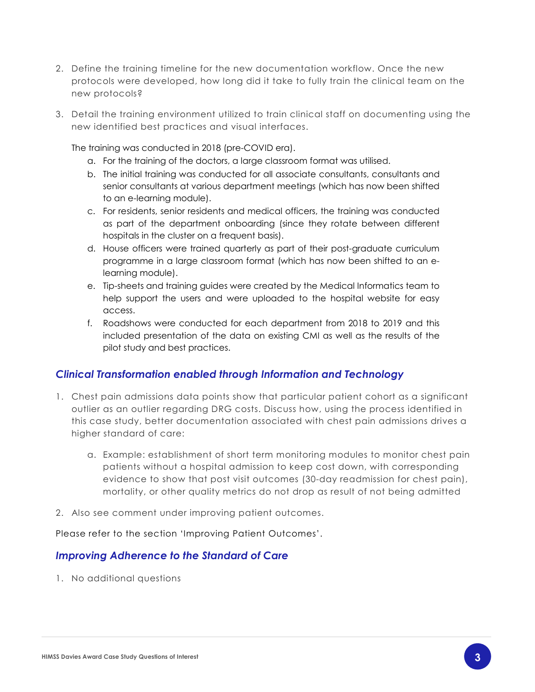- 2. Define the training timeline for the new documentation workflow. Once the new protocols were developed, how long did it take to fully train the clinical team on the new protocols?
- 3. Detail the training environment utilized to train clinical staff on documenting using the new identified best practices and visual interfaces.

The training was conducted in 2018 (pre-COVID era).

- a. For the training of the doctors, a large classroom format was utilised.
- b. The initial training was conducted for all associate consultants, consultants and senior consultants at various department meetings (which has now been shifted to an e-learning module).
- c. For residents, senior residents and medical officers, the training was conducted as part of the department onboarding (since they rotate between different hospitals in the cluster on a frequent basis).
- d. House officers were trained quarterly as part of their post-graduate curriculum programme in a large classroom format (which has now been shifted to an elearning module).
- e. Tip-sheets and training guides were created by the Medical Informatics team to help support the users and were uploaded to the hospital website for easy access.
- f. Roadshows were conducted for each department from 2018 to 2019 and this included presentation of the data on existing CMI as well as the results of the pilot study and best practices.

#### Clinical Transformation enabled through Information and Technology

- 1. Chest pain admissions data points show that particular patient cohort as a significant outlier as an outlier regarding DRG costs. Discuss how, using the process identified in this case study, better documentation associated with chest pain admissions drives a higher standard of care:
	- a. Example: establishment of short term monitoring modules to monitor chest pain patients without a hospital admission to keep cost down, with corresponding evidence to show that post visit outcomes (30-day readmission for chest pain), mortality, or other quality metrics do not drop as result of not being admitted
- 2. Also see comment under improving patient outcomes.

Please refer to the section 'Improving Patient Outcomes'.

#### Improving Adherence to the Standard of Care

1. No additional questions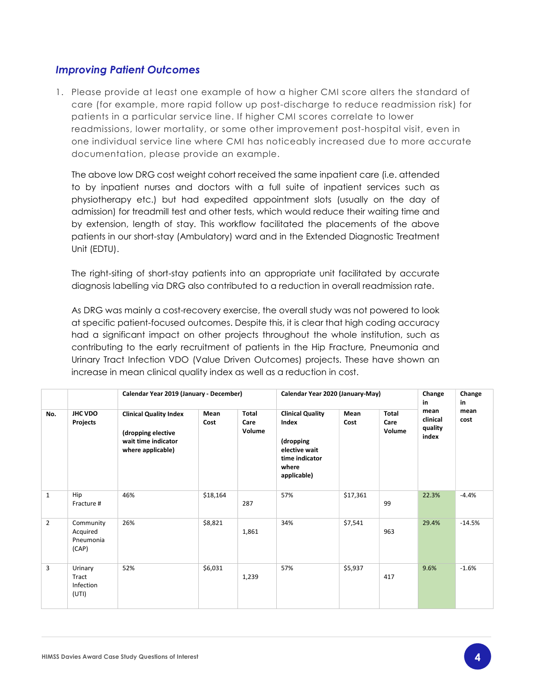#### Improving Patient Outcomes

1. Please provide at least one example of how a higher CMI score alters the standard of care (for example, more rapid follow up post-discharge to reduce readmission risk) for patients in a particular service line. If higher CMI scores correlate to lower readmissions, lower mortality, or some other improvement post-hospital visit, even in one individual service line where CMI has noticeably increased due to more accurate documentation, please provide an example.

The above low DRG cost weight cohort received the same inpatient care (i.e. attended to by inpatient nurses and doctors with a full suite of inpatient services such as physiotherapy etc.) but had expedited appointment slots (usually on the day of admission) for treadmill test and other tests, which would reduce their waiting time and by extension, length of stay. This workflow facilitated the placements of the above patients in our short-stay (Ambulatory) ward and in the Extended Diagnostic Treatment Unit (EDTU).

The right-siting of short-stay patients into an appropriate unit facilitated by accurate diagnosis labelling via DRG also contributed to a reduction in overall readmission rate.

As DRG was mainly a cost-recovery exercise, the overall study was not powered to look at specific patient-focused outcomes. Despite this, it is clear that high coding accuracy had a significant impact on other projects throughout the whole institution, such as contributing to the early recruitment of patients in the Hip Fracture, Pneumonia and Urinary Tract Infection VDO (Value Driven Outcomes) projects. These have shown an increase in mean clinical quality index as well as a reduction in cost.

|                |                                             | Calendar Year 2019 (January - December)                                                         |              |                         | Calendar Year 2020 (January-May)                                                                         |              |                         | Change<br>in                         | Change<br>in |
|----------------|---------------------------------------------|-------------------------------------------------------------------------------------------------|--------------|-------------------------|----------------------------------------------------------------------------------------------------------|--------------|-------------------------|--------------------------------------|--------------|
| No.            | JHC VDO<br>Projects                         | <b>Clinical Quality Index</b><br>(dropping elective<br>wait time indicator<br>where applicable) | Mean<br>Cost | Total<br>Care<br>Volume | <b>Clinical Quality</b><br>Index<br>(dropping<br>elective wait<br>time indicator<br>where<br>applicable) | Mean<br>Cost | Total<br>Care<br>Volume | mean<br>clinical<br>quality<br>index | mean<br>cost |
| $\mathbf{1}$   | Hip<br>Fracture #                           | 46%                                                                                             | \$18,164     | 287                     | 57%                                                                                                      | \$17,361     | 99                      | 22.3%                                | $-4.4%$      |
| $\overline{2}$ | Community<br>Acquired<br>Pneumonia<br>(CAP) | 26%                                                                                             | \$8,821      | 1,861                   | 34%                                                                                                      | \$7,541      | 963                     | 29.4%                                | $-14.5%$     |
| 3              | Urinary<br>Tract<br>Infection<br>(UTI)      | 52%                                                                                             | \$6,031      | 1,239                   | 57%                                                                                                      | \$5,937      | 417                     | 9.6%                                 | $-1.6%$      |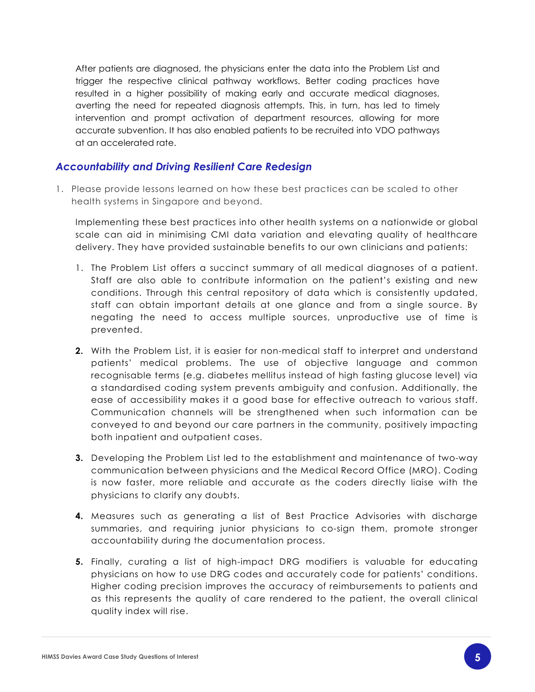After patients are diagnosed, the physicians enter the data into the Problem List and trigger the respective clinical pathway workflows. Better coding practices have resulted in a higher possibility of making early and accurate medical diagnoses, averting the need for repeated diagnosis attempts. This, in turn, has led to timely intervention and prompt activation of department resources, allowing for more accurate subvention. It has also enabled patients to be recruited into VDO pathways at an accelerated rate.

#### Accountability and Driving Resilient Care Redesign

1. Please provide lessons learned on how these best practices can be scaled to other health systems in Singapore and beyond.

Implementing these best practices into other health systems on a nationwide or global scale can aid in minimising CMI data variation and elevating quality of healthcare delivery. They have provided sustainable benefits to our own clinicians and patients:

- 1. The Problem List offers a succinct summary of all medical diagnoses of a patient. Staff are also able to contribute information on the patient's existing and new conditions. Through this central repository of data which is consistently updated, staff can obtain important details at one glance and from a single source. By negating the need to access multiple sources, unproductive use of time is prevented.
- 2. With the Problem List, it is easier for non-medical staff to interpret and understand patients' medical problems. The use of objective language and common recognisable terms (e.g. diabetes mellitus instead of high fasting glucose level) via a standardised coding system prevents ambiguity and confusion. Additionally, the ease of accessibility makes it a good base for effective outreach to various staff. Communication channels will be strengthened when such information can be conveyed to and beyond our care partners in the community, positively impacting both inpatient and outpatient cases.
- **3.** Developing the Problem List led to the establishment and maintenance of two-way communication between physicians and the Medical Record Office (MRO). Coding is now faster, more reliable and accurate as the coders directly liaise with the physicians to clarify any doubts.
- 4. Measures such as generating a list of Best Practice Advisories with discharge summaries, and requiring junior physicians to co-sign them, promote stronger accountability during the documentation process.
- 5. Finally, curating a list of high-impact DRG modifiers is valuable for educating physicians on how to use DRG codes and accurately code for patients' conditions. Higher coding precision improves the accuracy of reimbursements to patients and as this represents the quality of care rendered to the patient, the overall clinical quality index will rise.